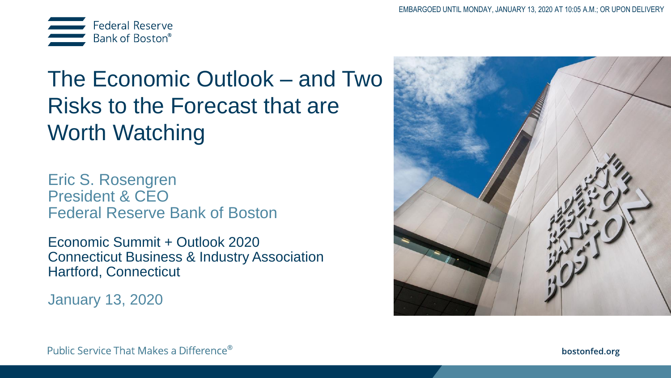

# The Economic Outlook – and Two Risks to the Forecast that are Worth Watching

Eric S. Rosengren President & CEO Federal Reserve Bank of Boston

Economic Summit + Outlook 2020 Connecticut Business & Industry Association Hartford, Connecticut

January 13, 2020



Public Service That Makes a Difference®

bostonfed.org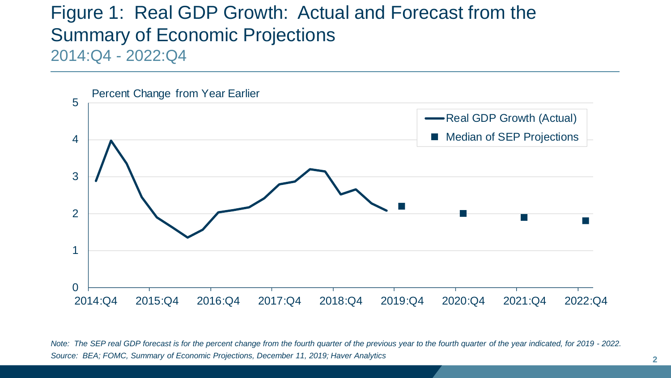## Figure 1: Real GDP Growth: Actual and Forecast from the Summary of Economic Projections 2014:Q4 - 2022:Q4



*Note: The SEP real GDP forecast is for the percent change from the fourth quarter of the previous year to the fourth quarter of the year indicated, for 2019 - 2022. Source: BEA; FOMC, Summary of Economic Projections, December 11, 2019; Haver Analytics*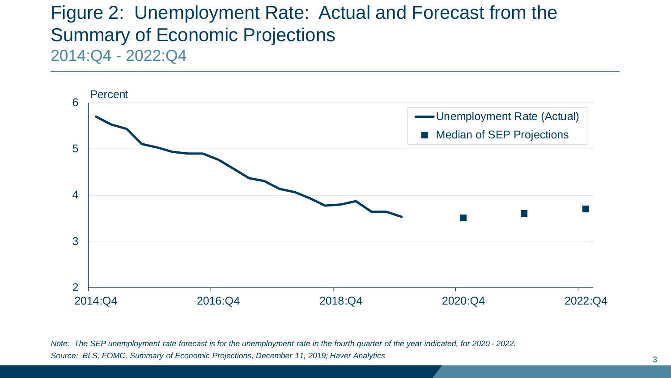## Figure 2: Unemployment Rate: Actual and Forecast from the Summary of Economic Projections 2014:Q4 - 2022:Q4



*Note: The SEP unemployment rate forecast is for the unemployment rate in the fourth quarter of the year indicated, for 2020 - 2022. Source: BLS; FOMC, Summary of Economic Projections, December 11, 2019; Haver Analytics*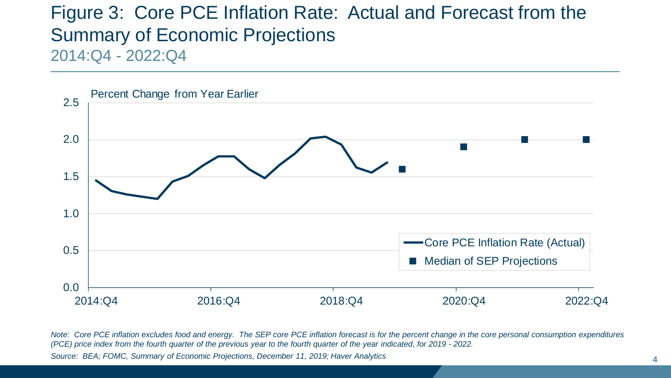## Figure 3: Core PCE Inflation Rate: Actual and Forecast from the Summary of Economic Projections 2014:Q4 - 2022:Q4



*Note: Core PCE inflation excludes food and energy. The SEP core PCE inflation forecast is for the percent change in the core personal consumption expenditures (PCE) price index from the fourth quarter of the previous year to the fourth quarter of the year indicated, for 2019 - 2022. Source: BEA; FOMC, Summary of Economic Projections, December 11, 2019; Haver Analytics*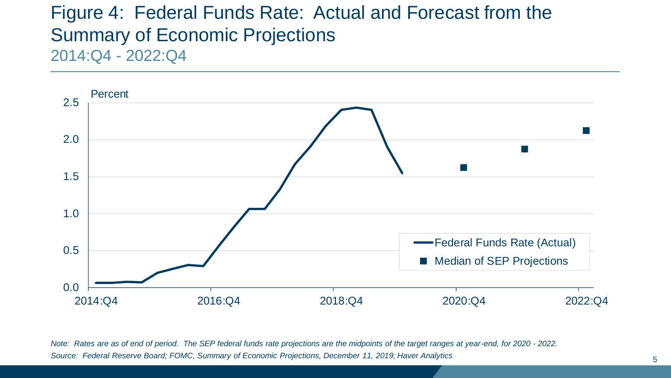## Figure 4: Federal Funds Rate: Actual and Forecast from the Summary of Economic Projections 2014:Q4 - 2022:Q4



*Note: Rates are as of end of period. The SEP federal funds rate projections are the midpoints of the target ranges at year-end, for 2020 - 2022. Source: Federal Reserve Board; FOMC, Summary of Economic Projections, December 11, 2019; Haver Analytics*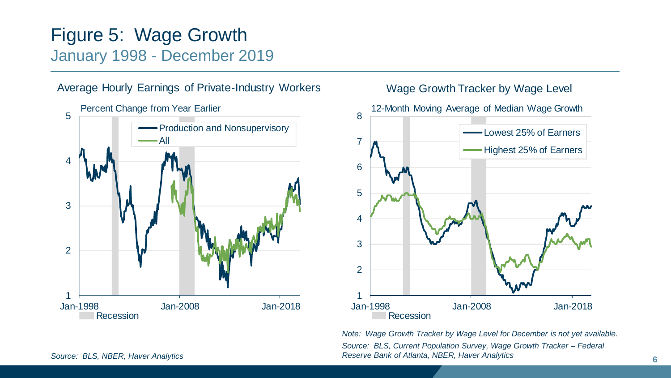## Figure 5: Wage Growth January 1998 - December 2019



### Average Hourly Earnings of Private-Industry Workers Wage Growth Tracker by Wage Level



*Source: BLS, NBER, Haver Analytics* **6** *Reserve Bank of Atlanta, NBER, Haver Analytics Note: Wage Growth Tracker by Wage Level for December is not yet available. Source: BLS, Current Population Survey, Wage Growth Tracker – Federal*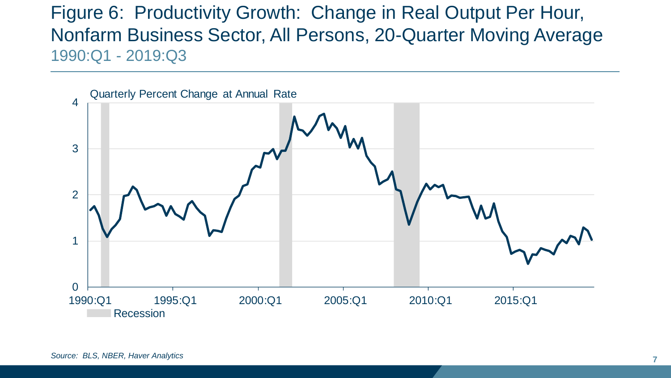Figure 6: Productivity Growth: Change in Real Output Per Hour, Nonfarm Business Sector, All Persons, 20-Quarter Moving Average 1990:Q1 - 2019:Q3

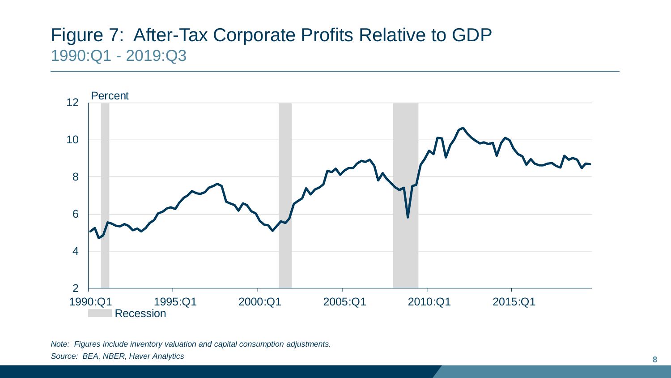## Figure 7: After-Tax Corporate Profits Relative to GDP 1990:Q1 - 2019:Q3



*Note: Figures include inventory valuation and capital consumption adjustments. Source: BEA, NBER, Haver Analytics*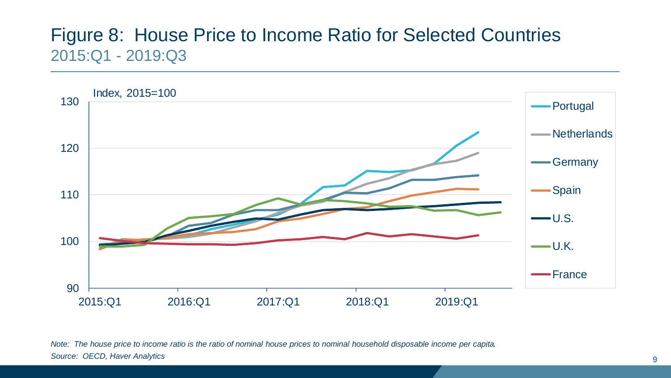## Figure 8: House Price to Income Ratio for Selected Countries 2015:Q1 - 2019:Q3



*Note: The house price to income ratio is the ratio of nominal house prices to nominal household disposable income per capita. Source: OECD, Haver Analytics*